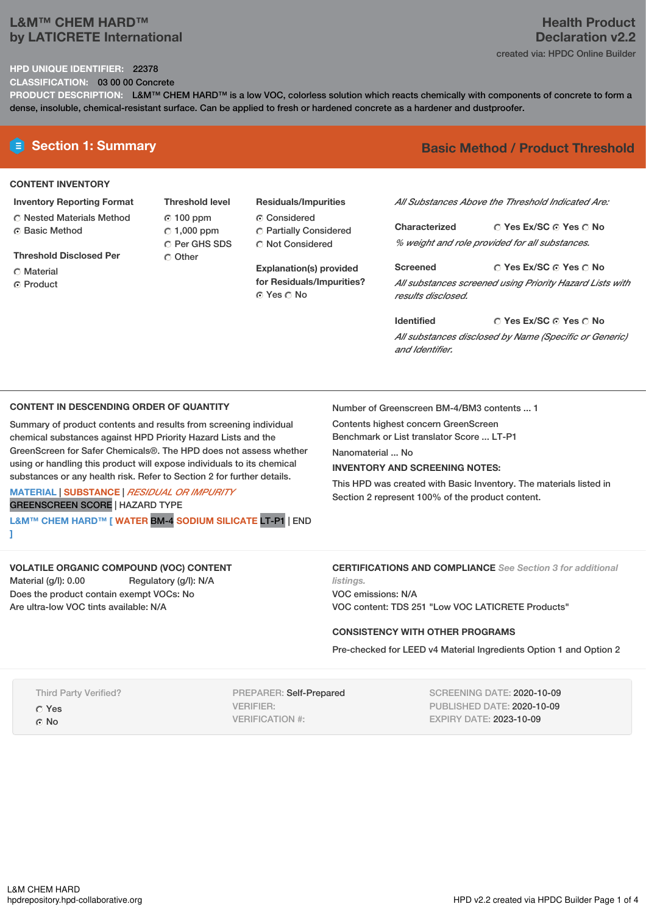## **L&M™ CHEM HARD™ by LATICRETE International**

### **HPD UNIQUE IDENTIFIER:** 22378

**CLASSIFICATION:** 03 00 00 Concrete

**PRODUCT DESCRIPTION:** L&M™ CHEM HARD™ is a low VOC, colorless solution which reacts chemically with components of concrete to form a dense, insoluble, chemical-resistant surface. Can be applied to fresh or hardened concrete as a hardener and dustproofer.

### **CONTENT INVENTORY**

- **Inventory Reporting Format** Nested Materials Method **G** Basic Method
- **Threshold Disclosed Per**
- C Material
- 
- **C** Product

**Threshold level** 100 ppm  $\degree$  1,000 ppm C Per GHS SDS O Other

**Residuals/Impurities** Considered Partially Considered C Not Considered

**Explanation(s) provided for Residuals/Impurities?** © Yes ∩ No

# **E** Section 1: Summary **Basic** Method / Product Threshold

*All Substances Above the Threshold Indicated Are:*

**Yes Ex/SC Yes No Characterized** *% weight and role provided for all substances.*

**Yes Ex/SC Yes No Screened** *All substances screened using Priority Hazard Lists with results disclosed.*

**Yes Ex/SC Yes No Identified** *All substances disclosed by Name (Specific or Generic) and Identifier.*

### **CONTENT IN DESCENDING ORDER OF QUANTITY**

Summary of product contents and results from screening individual chemical substances against HPD Priority Hazard Lists and the GreenScreen for Safer Chemicals®. The HPD does not assess whether using or handling this product will expose individuals to its chemical substances or any health risk. Refer to Section 2 for further details.

**MATERIAL** | **SUBSTANCE** | *RESIDUAL OR IMPURITY* GREENSCREEN SCORE | HAZARD TYPE

**L&M™ CHEM HARD™ [ WATER** BM-4 **SODIUM SILICATE** LT-P1 | END **]**

**VOLATILE ORGANIC COMPOUND (VOC) CONTENT**

Material (g/l): 0.00 Regulatory (g/l): N/A Does the product contain exempt VOCs: No Are ultra-low VOC tints available: N/A

Number of Greenscreen BM-4/BM3 contents ... 1

Contents highest concern GreenScreen

Benchmark or List translator Score ... LT-P1

Nanomaterial ... No

### **INVENTORY AND SCREENING NOTES:**

This HPD was created with Basic Inventory. The materials listed in Section 2 represent 100% of the product content.

### **CERTIFICATIONS AND COMPLIANCE** *See Section 3 for additional listings.*

VOC emissions: N/A VOC content: TDS 251 "Low VOC LATICRETE Products"

### **CONSISTENCY WITH OTHER PROGRAMS**

Pre-checked for LEED v4 Material Ingredients Option 1 and Option 2

Third Party Verified?

Yes ⊙ No

PREPARER: Self-Prepared VERIFIER: VERIFICATION #:

SCREENING DATE: 2020-10-09 PUBLISHED DATE: 2020-10-09 EXPIRY DATE: 2023-10-09

# **Health Product Declaration v2.2**

created via: HPDC Online Builder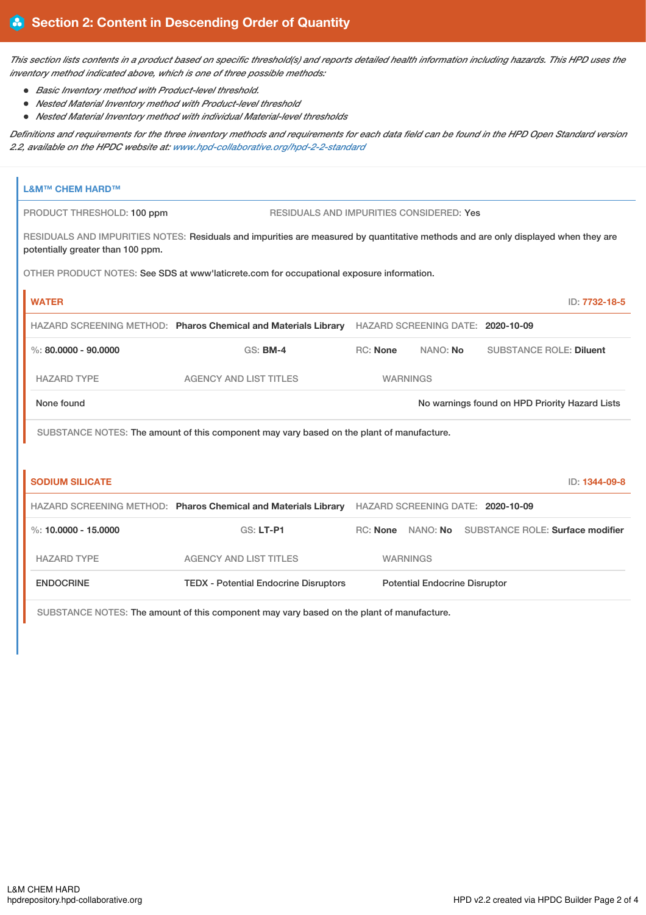This section lists contents in a product based on specific threshold(s) and reports detailed health information including hazards. This HPD uses the *inventory method indicated above, which is one of three possible methods:*

- *Basic Inventory method with Product-level threshold.*
- *Nested Material Inventory method with Product-level threshold*
- *Nested Material Inventory method with individual Material-level thresholds*

Definitions and requirements for the three inventory methods and requirements for each data field can be found in the HPD Open Standard version *2.2, available on the HPDC website at: [www.hpd-collaborative.org/hpd-2-2-standard](https://www.hpd-collaborative.org/hpd-2-2-standard)*

| <b>L&amp;M™ CHEM HARD™</b>                                                                |                                                                                                                                    |                                      |          |  |                                                    |  |
|-------------------------------------------------------------------------------------------|------------------------------------------------------------------------------------------------------------------------------------|--------------------------------------|----------|--|----------------------------------------------------|--|
| PRODUCT THRESHOLD: 100 ppm                                                                | RESIDUALS AND IMPURITIES CONSIDERED: Yes                                                                                           |                                      |          |  |                                                    |  |
| potentially greater than 100 ppm.                                                         | RESIDUALS AND IMPURITIES NOTES: Residuals and impurities are measured by quantitative methods and are only displayed when they are |                                      |          |  |                                                    |  |
| OTHER PRODUCT NOTES: See SDS at www'laticrete.com for occupational exposure information.  |                                                                                                                                    |                                      |          |  |                                                    |  |
| <b>WATER</b>                                                                              |                                                                                                                                    |                                      |          |  | ID: 7732-18-5                                      |  |
|                                                                                           | HAZARD SCREENING METHOD: Pharos Chemical and Materials Library HAZARD SCREENING DATE: 2020-10-09                                   |                                      |          |  |                                                    |  |
| $\%$ : 80.0000 - 90.0000                                                                  | $GS:$ BM-4                                                                                                                         | RC: None                             | NANO: No |  | <b>SUBSTANCE ROLE: Diluent</b>                     |  |
| <b>HAZARD TYPE</b>                                                                        | <b>AGENCY AND LIST TITLES</b>                                                                                                      | <b>WARNINGS</b>                      |          |  |                                                    |  |
| None found                                                                                |                                                                                                                                    |                                      |          |  | No warnings found on HPD Priority Hazard Lists     |  |
|                                                                                           | SUBSTANCE NOTES: The amount of this component may vary based on the plant of manufacture.                                          |                                      |          |  |                                                    |  |
|                                                                                           |                                                                                                                                    |                                      |          |  |                                                    |  |
| <b>SODIUM SILICATE</b>                                                                    |                                                                                                                                    |                                      |          |  | ID: 1344-09-8                                      |  |
|                                                                                           | HAZARD SCREENING METHOD: Pharos Chemical and Materials Library HAZARD SCREENING DATE: 2020-10-09                                   |                                      |          |  |                                                    |  |
| %: $10,0000 - 15,0000$                                                                    | GS: LT-P1                                                                                                                          |                                      |          |  | RC: None NANO: No SUBSTANCE ROLE: Surface modifier |  |
| <b>HAZARD TYPE</b>                                                                        | <b>AGENCY AND LIST TITLES</b>                                                                                                      | <b>WARNINGS</b>                      |          |  |                                                    |  |
| <b>ENDOCRINE</b>                                                                          | <b>TEDX - Potential Endocrine Disruptors</b>                                                                                       | <b>Potential Endocrine Disruptor</b> |          |  |                                                    |  |
| SUBSTANCE NOTES: The amount of this component may vary based on the plant of manufacture. |                                                                                                                                    |                                      |          |  |                                                    |  |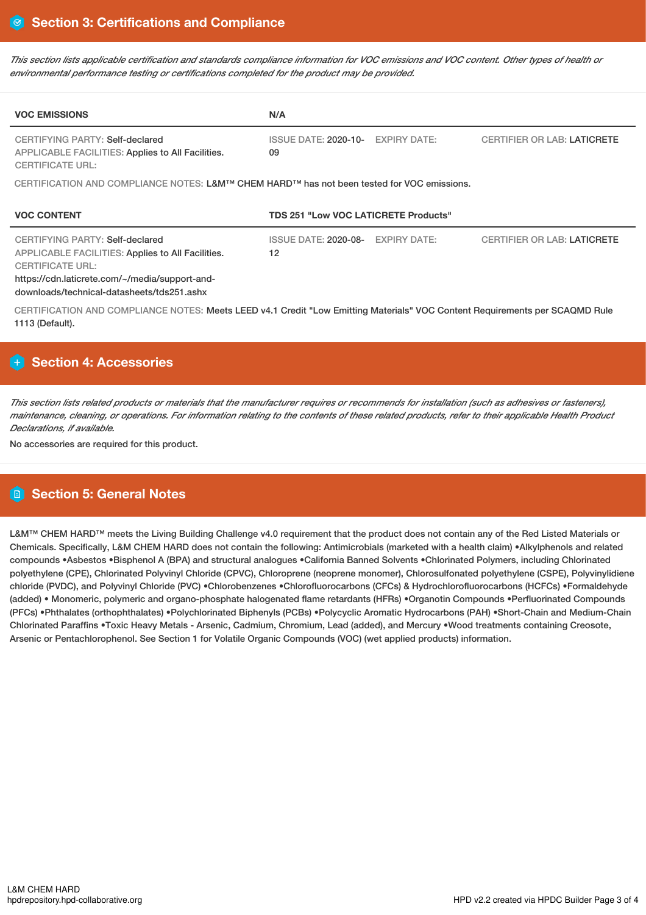This section lists applicable certification and standards compliance information for VOC emissions and VOC content. Other types of health or *environmental performance testing or certifications completed for the product may be provided.*

| <b>VOC EMISSIONS</b>                                                                                                                                                                                                          | N/A                                                      |                                    |  |  |  |  |
|-------------------------------------------------------------------------------------------------------------------------------------------------------------------------------------------------------------------------------|----------------------------------------------------------|------------------------------------|--|--|--|--|
| <b>CERTIFYING PARTY: Self-declared</b><br><b>APPLICABLE FACILITIES: Applies to All Facilities.</b><br><b>CERTIFICATE URL:</b>                                                                                                 | <b>EXPIRY DATE:</b><br><b>ISSUE DATE: 2020-10-</b><br>09 | <b>CERTIFIER OR LAB: LATICRETE</b> |  |  |  |  |
| CERTIFICATION AND COMPLIANCE NOTES: L&M™ CHEM HARD™ has not been tested for VOC emissions.                                                                                                                                    |                                                          |                                    |  |  |  |  |
| <b>VOC CONTENT</b>                                                                                                                                                                                                            | <b>TDS 251 "Low VOC LATICRETE Products"</b>              |                                    |  |  |  |  |
| <b>CERTIFYING PARTY: Self-declared</b><br><b>APPLICABLE FACILITIES: Applies to All Facilities.</b><br><b>CERTIFICATE URL:</b><br>https://cdn.laticrete.com/~/media/support-and-<br>downloads/technical-datasheets/tds251.ashx | <b>EXPIRY DATE:</b><br><b>ISSUE DATE: 2020-08-</b><br>12 | <b>CERTIFIER OR LAB: LATICRETE</b> |  |  |  |  |
| CERTIFICATION AND COMPLIANCE NOTES: Meets LEED v4.1 Credit "Low Emitting Materials" VOC Content Requirements per SCAQMD Rule<br>1113 (Default).                                                                               |                                                          |                                    |  |  |  |  |

# **Section 4: Accessories**

This section lists related products or materials that the manufacturer requires or recommends for installation (such as adhesives or fasteners), maintenance, cleaning, or operations. For information relating to the contents of these related products, refer to their applicable Health Product *Declarations, if available.*

No accessories are required for this product.

# **Section 5: General Notes**

L&M™ CHEM HARD™ meets the Living Building Challenge v4.0 requirement that the product does not contain any of the Red Listed Materials or Chemicals. Specifically, L&M CHEM HARD does not contain the following: Antimicrobials (marketed with a health claim) •Alkylphenols and related compounds •Asbestos •Bisphenol A (BPA) and structural analogues •California Banned Solvents •Chlorinated Polymers, including Chlorinated polyethylene (CPE), Chlorinated Polyvinyl Chloride (CPVC), Chloroprene (neoprene monomer), Chlorosulfonated polyethylene (CSPE), Polyvinylidiene chloride (PVDC), and Polyvinyl Chloride (PVC) •Chlorobenzenes •Chlorofluorocarbons (CFCs) & Hydrochlorofluorocarbons (HCFCs) •Formaldehyde (added) • Monomeric, polymeric and organo-phosphate halogenated flame retardants (HFRs) •Organotin Compounds •Perfluorinated Compounds (PFCs) •Phthalates (orthophthalates) •Polychlorinated Biphenyls (PCBs) •Polycyclic Aromatic Hydrocarbons (PAH) •Short-Chain and Medium-Chain Chlorinated Paraffins •Toxic Heavy Metals - Arsenic, Cadmium, Chromium, Lead (added), and Mercury •Wood treatments containing Creosote, Arsenic or Pentachlorophenol. See Section 1 for Volatile Organic Compounds (VOC) (wet applied products) information.